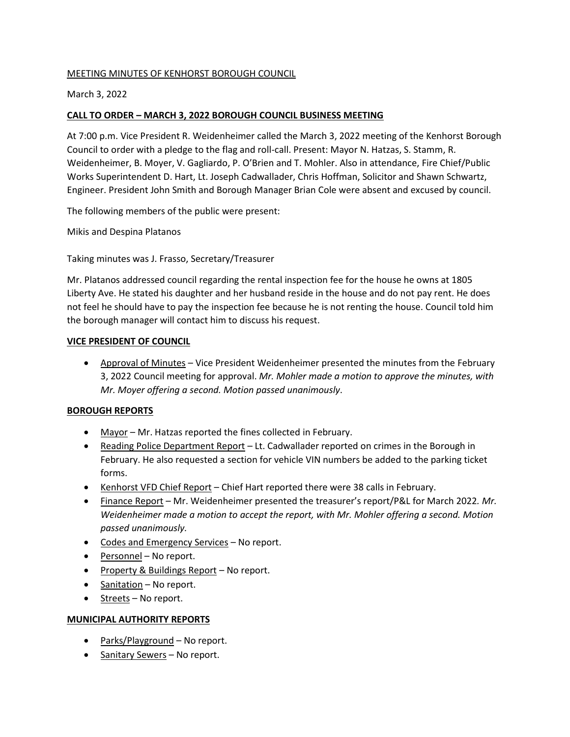## MEETING MINUTES OF KENHORST BOROUGH COUNCIL

## March 3, 2022

# **CALL TO ORDER – MARCH 3, 2022 BOROUGH COUNCIL BUSINESS MEETING**

At 7:00 p.m. Vice President R. Weidenheimer called the March 3, 2022 meeting of the Kenhorst Borough Council to order with a pledge to the flag and roll-call. Present: Mayor N. Hatzas, S. Stamm, R. Weidenheimer, B. Moyer, V. Gagliardo, P. O'Brien and T. Mohler. Also in attendance, Fire Chief/Public Works Superintendent D. Hart, Lt. Joseph Cadwallader, Chris Hoffman, Solicitor and Shawn Schwartz, Engineer. President John Smith and Borough Manager Brian Cole were absent and excused by council.

The following members of the public were present:

Mikis and Despina Platanos

Taking minutes was J. Frasso, Secretary/Treasurer

Mr. Platanos addressed council regarding the rental inspection fee for the house he owns at 1805 Liberty Ave. He stated his daughter and her husband reside in the house and do not pay rent. He does not feel he should have to pay the inspection fee because he is not renting the house. Council told him the borough manager will contact him to discuss his request.

#### **VICE PRESIDENT OF COUNCIL**

• Approval of Minutes - Vice President Weidenheimer presented the minutes from the February 3, 2022 Council meeting for approval. *Mr. Mohler made a motion to approve the minutes, with Mr. Moyer offering a second. Motion passed unanimously*.

### **BOROUGH REPORTS**

- Mayor Mr. Hatzas reported the fines collected in February.
- Reading Police Department Report Lt. Cadwallader reported on crimes in the Borough in February. He also requested a section for vehicle VIN numbers be added to the parking ticket forms.
- Kenhorst VFD Chief Report Chief Hart reported there were 38 calls in February.
- Finance Report Mr. Weidenheimer presented the treasurer's report/P&L for March 2022*. Mr. Weidenheimer made a motion to accept the report, with Mr. Mohler offering a second. Motion passed unanimously.*
- Codes and Emergency Services No report.
- Personnel No report.
- Property & Buildings Report No report.
- Sanitation No report.
- Streets No report.

### **MUNICIPAL AUTHORITY REPORTS**

- Parks/Playground No report.
- Sanitary Sewers No report.